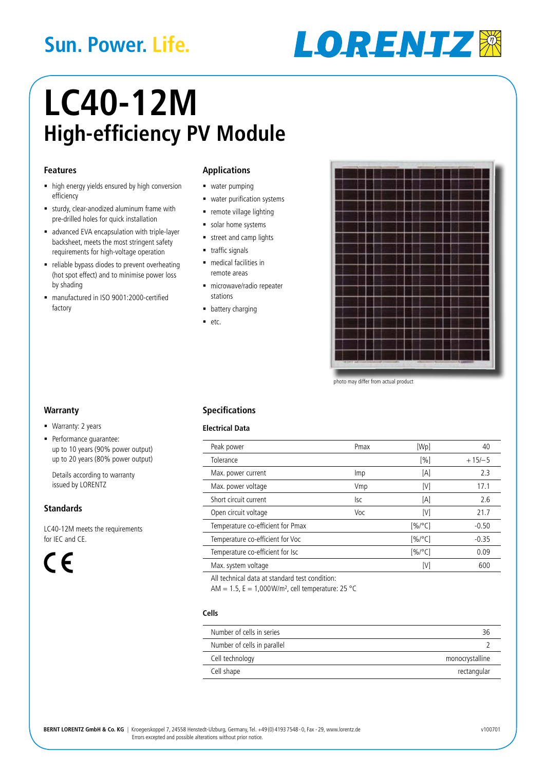# **Sun. Power. Life.**



# **LC40-12M High-efficiency PV Module**

#### **Features**

- high energy yields ensured by high conversion efficiency
- sturdy, clear-anodized aluminum frame with pre-drilled holes for quick installation
- advanced EVA encapsulation with triple-layer backsheet, meets the most stringent safety requirements for high-voltage operation
- reliable bypass diodes to prevent overheating (hot spot effect) and to minimise power loss by shading
- manufactured in ISO 9001:2000-certified factory

### **Applications**

- **water pumping**
- **water purification systems**
- **•** remote village lighting
- solar home systems
- street and camp lights
- **traffic signals**
- **medical facilities in** remote areas
- microwave/radio repeater stations
- **battery charging**
- $etc.$



photo may differ from actual product

#### **Warranty**

- **Warranty: 2 years**
- **Performance quarantee:** up to 10 years (90% power output) up to 20 years (80% power output)

Details according to warranty issued by LORENTZ

## **Standards**

LC40-12M meets the requirements for IEC and CE.

 $\epsilon$ 

# **Specifications**

#### **Electrical Data**

| Peak power                        | Pmax | [Wp]      | 40       |
|-----------------------------------|------|-----------|----------|
| Tolerance                         |      | [%]       | $+15/–5$ |
| Max. power current                | lmp  | [A]       | 2.3      |
| Max. power voltage                | Vmp  | [V]       | 17.1     |
| Short circuit current             | lsc  | [A]       | 2.6      |
| Open circuit voltage              | Voc  | [V]       | 21.7     |
| Temperature co-efficient for Pmax |      | $[%$ /°C] | $-0.50$  |
| Temperature co-efficient for Voc  |      | $[%$ /°C] | $-0.35$  |
| Temperature co-efficient for Isc  |      | $[%$ /°C] | 0.09     |
| Max. system voltage               |      | [V]       | 600      |
|                                   |      |           |          |

All technical data at standard test condition:

AM = 1.5,  $E = 1.000$  W/m<sup>2</sup>, cell temperature: 25 °C

#### **Cells**

| Number of cells in series   |                 |
|-----------------------------|-----------------|
| Number of cells in parallel |                 |
| Cell technology             | monocrystalline |
| Cell shape                  | rectangular     |